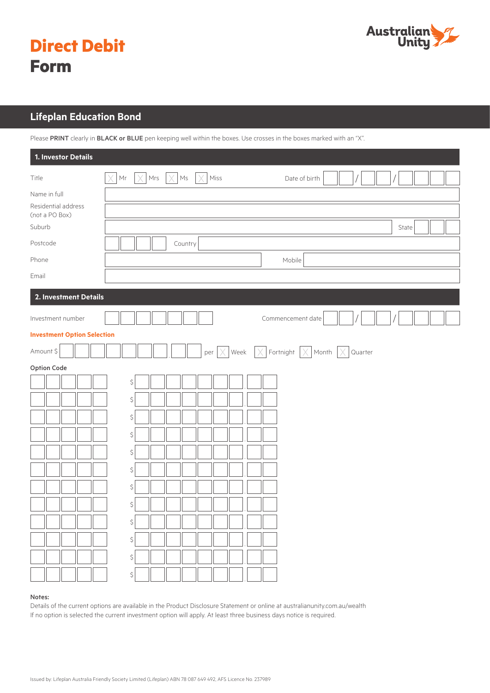

# **Direct Debit Form**

### **Lifeplan Education Bond**

Please PRINT clearly in BLACK or BLUE pen keeping well within the boxes. Use crosses in the boxes marked with an "X".

| 1. Investor Details                 |                                                                                                                   |  |
|-------------------------------------|-------------------------------------------------------------------------------------------------------------------|--|
| Title                               | Mrs $\vert \times \vert$ Ms<br>$\times$<br>Mr<br>$\times$<br>Miss<br>Date of birth                                |  |
| Name in full<br>Residential address |                                                                                                                   |  |
| (not a PO Box)<br>Suburb            | State                                                                                                             |  |
| Postcode                            | Country                                                                                                           |  |
| Phone                               | Mobile                                                                                                            |  |
| Email                               |                                                                                                                   |  |
| 2. Investment Details               |                                                                                                                   |  |
| Investment number                   | Commencement date                                                                                                 |  |
| <b>Investment Option Selection</b>  |                                                                                                                   |  |
| Amount \$                           | Week $\left[\times\right]$ Fortnight $\left[\times\right]$ Month $\left[\times\right]$ Quarter<br>$\times$<br>per |  |
| Option Code                         |                                                                                                                   |  |
|                                     | $\boldsymbol{\zeta}$                                                                                              |  |
|                                     | $\boldsymbol{\zeta}$                                                                                              |  |
|                                     | $\boldsymbol{\zeta}$                                                                                              |  |
|                                     | $\boldsymbol{\zeta}$                                                                                              |  |
|                                     | $\boldsymbol{\zeta}$                                                                                              |  |
|                                     | $\boldsymbol{\zeta}$                                                                                              |  |
|                                     | $\boldsymbol{\zeta}$                                                                                              |  |
|                                     | $\boldsymbol{\zeta}$                                                                                              |  |
| ПF                                  | \$                                                                                                                |  |
|                                     | \$                                                                                                                |  |
|                                     | \$                                                                                                                |  |
|                                     | \$                                                                                                                |  |

#### Notes:

Details of the current options are available in the Product Disclosure Statement or online at australianunity.com.au/wealth If no option is selected the current investment option will apply. At least three business days notice is required.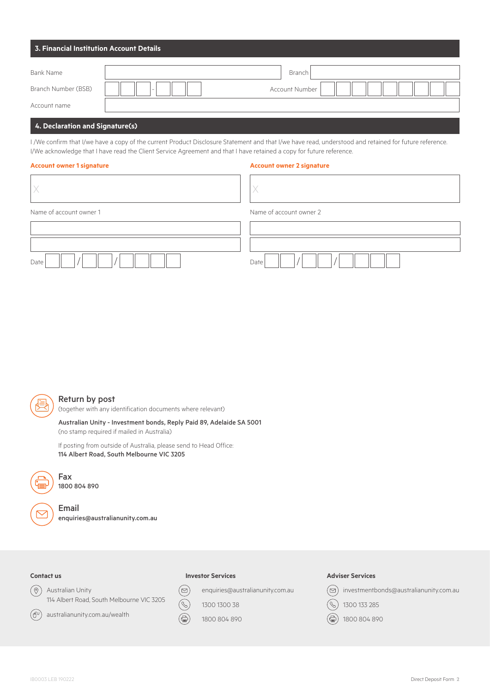| 3. Financial Institution Account Details |                                                   |  |  |  |
|------------------------------------------|---------------------------------------------------|--|--|--|
| Bank Name                                | Branch                                            |  |  |  |
| Branch Number (BSB)                      | <b>Account Number</b><br>$\overline{\phantom{a}}$ |  |  |  |
| Account name                             |                                                   |  |  |  |

### **4. Declaration and Signature(s)**

I /We confirm that I/we have a copy of the current Product Disclosure Statement and that I/we have read, understood and retained for future reference. I/We acknowledge that I have read the Client Service Agreement and that I have retained a copy for future reference.

#### **Account owner 1 signature Account owner 2 signature**

| Name of account owner 1 | Name of account owner 2 |
|-------------------------|-------------------------|
|                         |                         |
|                         |                         |
| Date                    | Date                    |



#### Return by post

(together with any identification documents where relevant)

Australian Unity - Investment bonds, Reply Paid 89, Adelaide SA 5001 (no stamp required if mailed in Australia)

If posting from outside of Australia, please send to Head Office: 114 Albert Road, South Melbourne VIC 3205



1800 804 890

Fax

Email enquiries@australianunity.com.au

#### **Contact us**

 $(\oplus)$ 

 $\circledcirc$ Australian Unity 114 Albert Road, South Melbourne VIC 3205

australianunity.com.au/wealth

#### **Investor Services**

enquiries@australianunity.com.au

 $\mathscr{C}$ 

 $(\boxdot)$ 

1300 1300 38 1800 804 890

#### **Adviser Services**



 $(\mathcal{C})$ 1300 133 285

(全) 1800 804 890